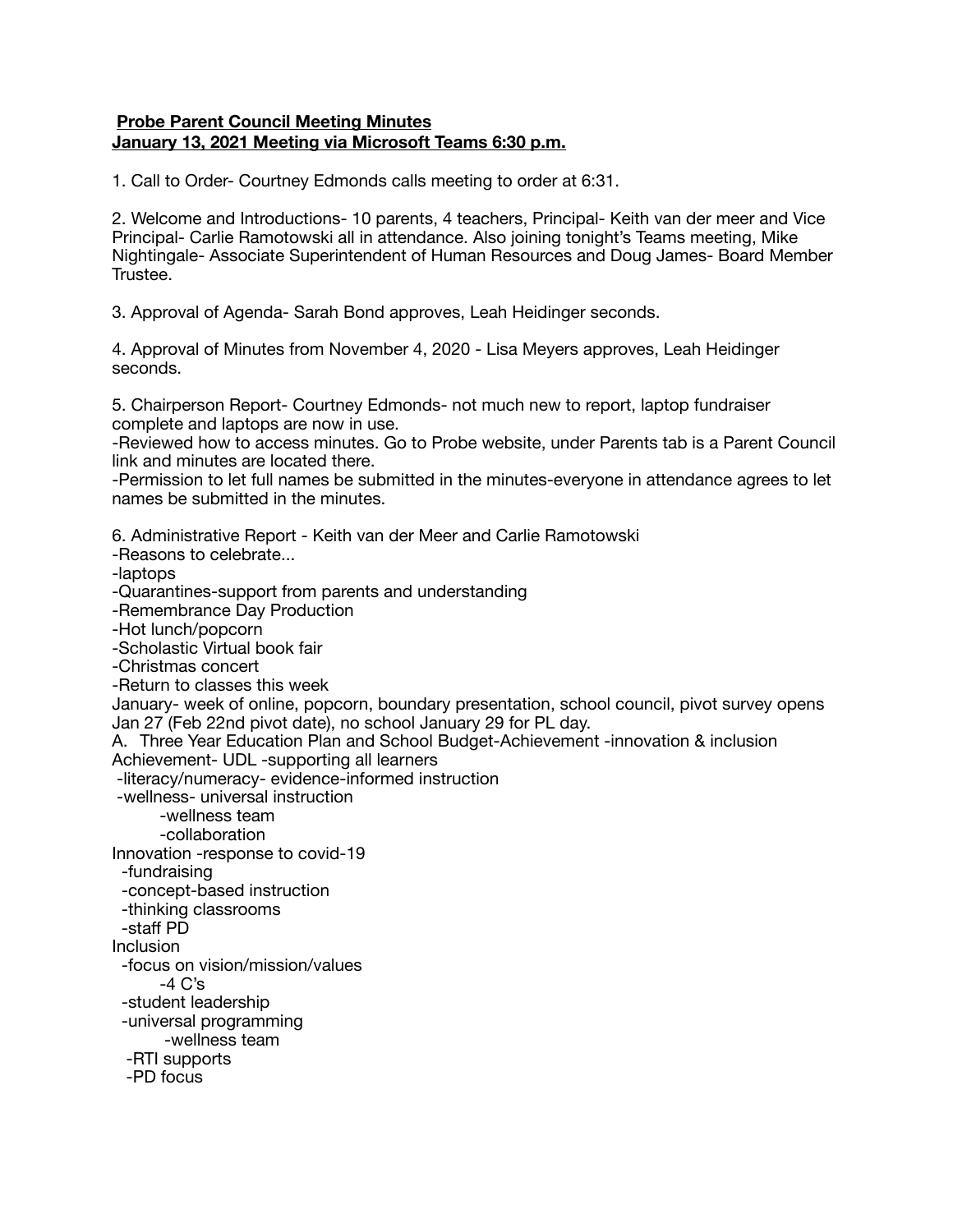## **Probe Parent Council Meeting Minutes January 13, 2021 Meeting via Microsoft Teams 6:30 p.m.**

1. Call to Order- Courtney Edmonds calls meeting to order at 6:31.

2. Welcome and Introductions- 10 parents, 4 teachers, Principal- Keith van der meer and Vice Principal- Carlie Ramotowski all in attendance. Also joining tonight's Teams meeting, Mike Nightingale- Associate Superintendent of Human Resources and Doug James- Board Member Trustee.

3. Approval of Agenda- Sarah Bond approves, Leah Heidinger seconds.

4. Approval of Minutes from November 4, 2020 - Lisa Meyers approves, Leah Heidinger seconds.

5. Chairperson Report- Courtney Edmonds- not much new to report, laptop fundraiser complete and laptops are now in use.

-Reviewed how to access minutes. Go to Probe website, under Parents tab is a Parent Council link and minutes are located there.

-Permission to let full names be submitted in the minutes-everyone in attendance agrees to let names be submitted in the minutes.

6. Administrative Report - Keith van der Meer and Carlie Ramotowski -Reasons to celebrate... -laptops -Quarantines-support from parents and understanding -Remembrance Day Production -Hot lunch/popcorn -Scholastic Virtual book fair -Christmas concert -Return to classes this week January- week of online, popcorn, boundary presentation, school council, pivot survey opens Jan 27 (Feb 22nd pivot date), no school January 29 for PL day. A. Three Year Education Plan and School Budget-Achievement -innovation & inclusion Achievement- UDL -supporting all learners -literacy/numeracy- evidence-informed instruction -wellness- universal instruction -wellness team -collaboration Innovation -response to covid-19 -fundraising -concept-based instruction -thinking classrooms -staff PD Inclusion -focus on vision/mission/values  $-4$  C's -student leadership -universal programming -wellness team -RTI supports -PD focus